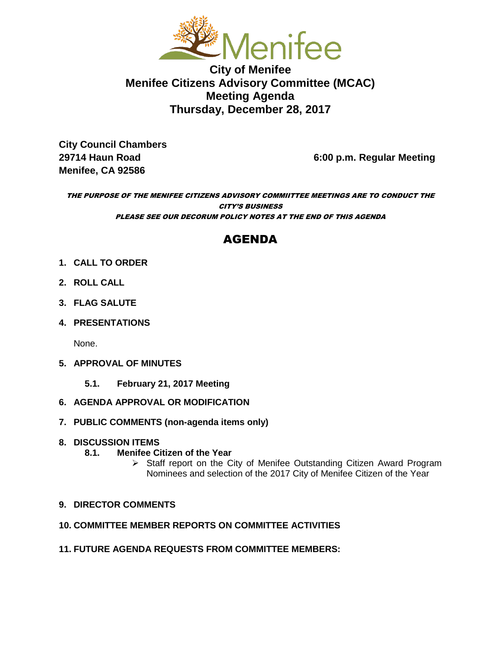

**City of Menifee Menifee Citizens Advisory Committee (MCAC) Meeting Agenda Thursday, December 28, 2017**

**City Council Chambers Menifee, CA 92586** 

**29714 Haun Road 6:00 p.m. Regular Meeting**

THE PURPOSE OF THE MENIFEE CITIZENS ADVISORY COMMIITTEE MEETINGS ARE TO CONDUCT THE CITY'S BUSINESS PLEASE SEE OUR DECORUM POLICY NOTES AT THE END OF THIS AGENDA

# AGENDA

- **1. CALL TO ORDER**
- **2. ROLL CALL**
- **3. FLAG SALUTE**
- **4. PRESENTATIONS**

None.

- **5. APPROVAL OF MINUTES**
	- **5.1. February 21, 2017 Meeting**
- **6. AGENDA APPROVAL OR MODIFICATION**
- **7. PUBLIC COMMENTS (non-agenda items only)**

# **8. DISCUSSION ITEMS**

- **8.1. Menifee Citizen of the Year** 
	- $\triangleright$  Staff report on the City of Menifee Outstanding Citizen Award Program Nominees and selection of the 2017 City of Menifee Citizen of the Year

# **9. DIRECTOR COMMENTS**

#### **10. COMMITTEE MEMBER REPORTS ON COMMITTEE ACTIVITIES**

**11. FUTURE AGENDA REQUESTS FROM COMMITTEE MEMBERS:**